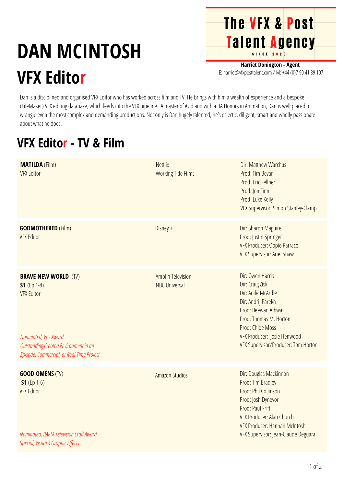## **DAN MCINTOSH VFX Editor**

**Harriet Donington - Agent** E: harriet@vfxposttalent.com / M:+44(0)7904189107

**The VFX & Post** 

Talent Agency

Dan is a disciplined and organised VFX Editor who has worked across film and TV. He brings with him a wealth of experience and a bespoke (FileMaker) VFX editing database, which feeds into the VFX pipeline. A master of Avid and with a BA Honors in Animation, Dan is well placed to wrangle even the most complex and demanding productions. Not only is Dan hugely talented, he's eclectic, diligent, smart and wholly passionate about what he does.

## **VFX Editor - TV & Film**

| <b>MATILDA</b> (Film)<br><b>VFX Editor</b>                                                                                                                                      | <b>Netflix</b><br><b>Working Title Films</b>     | Dir: Matthew Warchus<br>Prod: Tim Bevan<br>Prod: Eric Fellner<br>Prod: Jon Finn<br>Prod: Luke Kelly<br>VFX Supervisor: Simon Stanley-Clamp                                                                                 |
|---------------------------------------------------------------------------------------------------------------------------------------------------------------------------------|--------------------------------------------------|----------------------------------------------------------------------------------------------------------------------------------------------------------------------------------------------------------------------------|
| <b>GODMOTHERED (Film)</b><br><b>VFX Editor</b>                                                                                                                                  | Disney +                                         | Dir: Sharon Maguire<br>Prod: Justin Springer<br>VFX Producer: Oopie Parraco<br>VFX Supervisor: Ariel Shaw                                                                                                                  |
| <b>BRAVE NEW WORLD (TV)</b><br>$S1$ (Ep 1-8)<br><b>VFX Editor</b><br>Nominated, VES Award<br>Outstanding Created Environment in an<br>Episode, Commercial, or Real-Time Project | <b>Amblin Television</b><br><b>NBC Universal</b> | Dir: Owen Harris<br>Dir: Craig Zisk<br>Dir: Aoife McArdle<br>Dir: Andrij Parekh<br>Prod: Beewan Athwal<br>Prod: Thomas M. Horton<br>Prod: Chloe Moss<br>VFX Producer: Josie Henwood<br>VFX Supervisor/Producer: Tom Horton |
|                                                                                                                                                                                 |                                                  |                                                                                                                                                                                                                            |
| <b>GOOD OMENS (TV)</b><br>$S1(Ep 1-6)$<br><b>VFX Editor</b><br>Nominated, BAFTA Television Craft Award<br>Special, Visual & Graphic Effects                                     | <b>Amazon Studios</b>                            | Dir: Douglas Mackinnon<br>Prod: Tim Bradley<br>Prod: Phil Collinson<br>Prod: Josh Dynevor<br>Prod: Paul Frift<br>VFX Producer: Alan Church<br><b>VFX Producer: Hannah McIntosh</b><br>VFX Supervisor: Jean-Claude Deguara  |